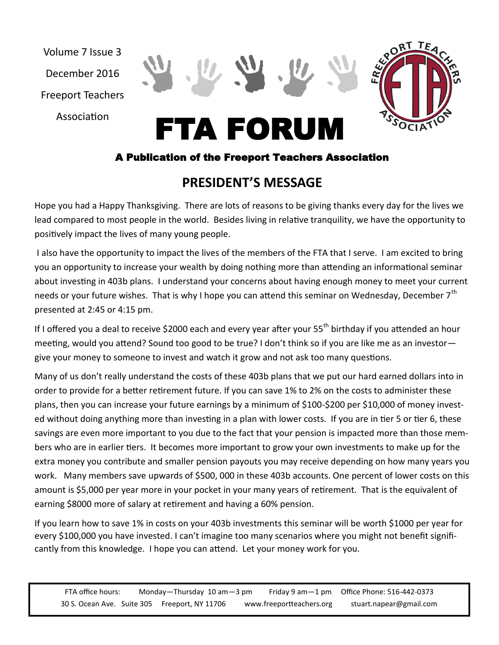Volume 7 Issue 3 December 2016 Freeport Teachers

Association



### A Publication of the Freeport Teachers Association

# **PRESIDENT'S MESSAGE**

Hope you had a Happy Thanksgiving. There are lots of reasons to be giving thanks every day for the lives we lead compared to most people in the world. Besides living in relative tranquility, we have the opportunity to positively impact the lives of many young people.

I also have the opportunity to impact the lives of the members of the FTA that I serve. I am excited to bring you an opportunity to increase your wealth by doing nothing more than attending an informational seminar about investing in 403b plans. I understand your concerns about having enough money to meet your current needs or your future wishes. That is why I hope you can attend this seminar on Wednesday, December 7<sup>th</sup> presented at 2:45 or 4:15 pm.

If I offered you a deal to receive \$2000 each and every year after your 55<sup>th</sup> birthday if you attended an hour meeting, would you attend? Sound too good to be true? I don't think so if you are like me as an investor give your money to someone to invest and watch it grow and not ask too many questions.

Many of us don't really understand the costs of these 403b plans that we put our hard earned dollars into in order to provide for a better retirement future. If you can save 1% to 2% on the costs to administer these plans, then you can increase your future earnings by a minimum of \$100-\$200 per \$10,000 of money invested without doing anything more than investing in a plan with lower costs. If you are in tier 5 or tier 6, these savings are even more important to you due to the fact that your pension is impacted more than those members who are in earlier tiers. It becomes more important to grow your own investments to make up for the extra money you contribute and smaller pension payouts you may receive depending on how many years you work. Many members save upwards of \$500, 000 in these 403b accounts. One percent of lower costs on this amount is \$5,000 per year more in your pocket in your many years of retirement. That is the equivalent of earning \$8000 more of salary at retirement and having a 60% pension.

If you learn how to save 1% in costs on your 403b investments this seminar will be worth \$1000 per year for every \$100,000 you have invested. I can't imagine too many scenarios where you might not benefit significantly from this knowledge. I hope you can attend. Let your money work for you.